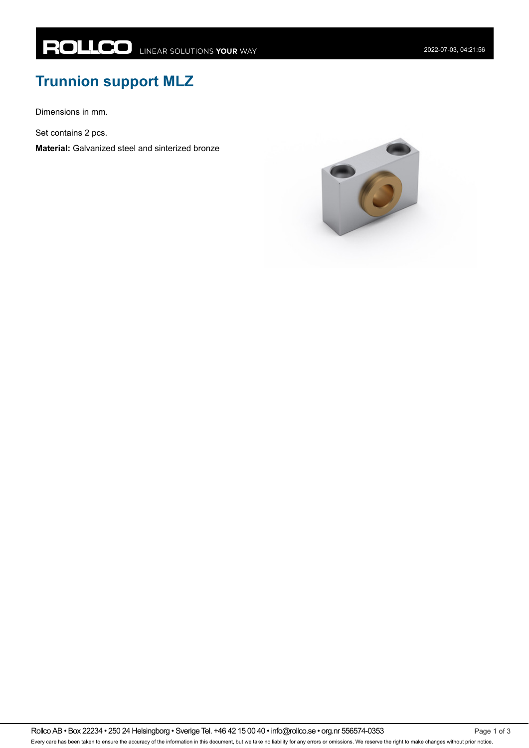## **Trunnion support MLZ**

Dimensions in mm.

Set contains 2 pcs.

**Material:** Galvanized steel and sinterized bronze

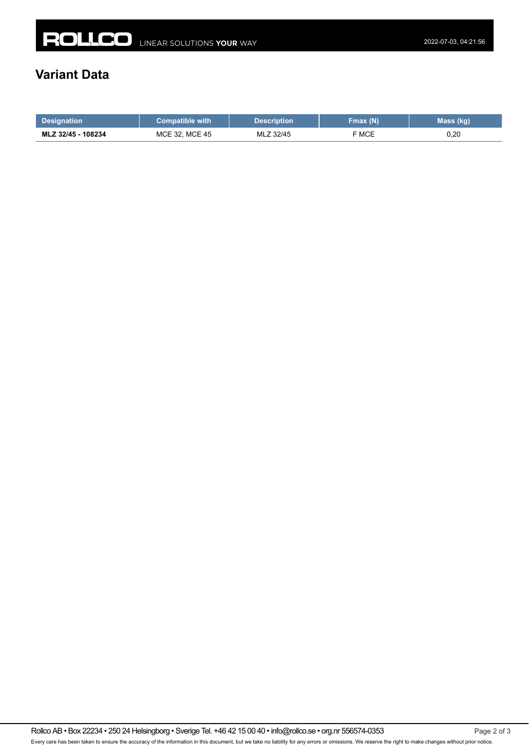## **Variant Data**

| <b>Designation</b> | <b>Compatible with</b> | Description | Fmax (N) | Mass (kg) |
|--------------------|------------------------|-------------|----------|-----------|
| MLZ 32/45 - 108234 | MCE 32. MCE 45         | MLZ 32/45   | ⊺ MCE    | 0,20      |

Rollco AB • Box 22234 • 250 24 Helsingborg • Sverige Tel. +46 42 15 00 40 • info@rollco.se • org.nr 556574-0353 Page 2 of 3 Every care has been taken to ensure the accuracy of the information in this document, but we take no liability for any errors or omissions. We reserve the right to make changes without prior notice.